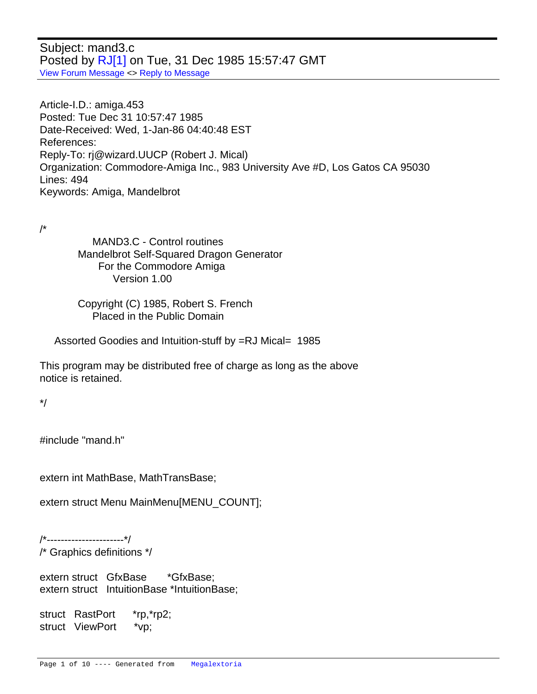Subject: mand3.c Posted by [RJ\[1\]](http://www.megalextoria.com/forum2/index.php?t=usrinfo&id=18653) on Tue, 31 Dec 1985 15:57:47 GMT [View Forum Message](http://www.megalextoria.com/forum2/index.php?t=rview&th=85606&goto=279684#msg_279684) <> [Reply to Message](http://www.megalextoria.com/forum2/index.php?t=post&reply_to=279684)

Article-I.D.: amiga.453 Posted: Tue Dec 31 10:57:47 1985 Date-Received: Wed, 1-Jan-86 04:40:48 EST References: Reply-To: rj@wizard.UUCP (Robert J. Mical) Organization: Commodore-Amiga Inc., 983 University Ave #D, Los Gatos CA 95030 Lines: 494 Keywords: Amiga, Mandelbrot

/\*

 MAND3.C - Control routines Mandelbrot Self-Squared Dragon Generator For the Commodore Amiga Version 1.00

 Copyright (C) 1985, Robert S. French Placed in the Public Domain

Assorted Goodies and Intuition-stuff by =RJ Mical= 1985

This program may be distributed free of charge as long as the above notice is retained.

\*/

#include "mand.h"

extern int MathBase, MathTransBase;

extern struct Menu MainMenu[MENU\_COUNT];

/\*----------------------\*/

/\* Graphics definitions \*/

extern struct GfxBase \*GfxBase; extern struct IntuitionBase \*IntuitionBase;

struct RastPort \*rp,\*rp2; struct ViewPort \*vp;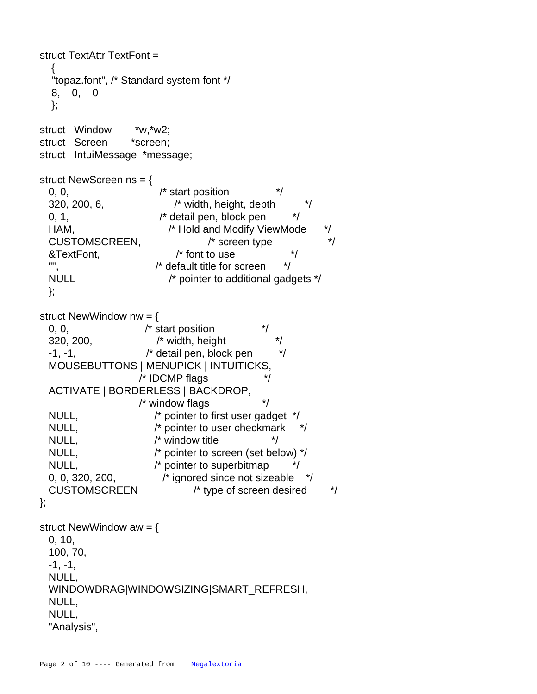```
struct TextAttr TextFont =
   {
   "topaz.font", /* Standard system font */
   8, 0, 0
   };
struct Window *w,*w2;
struct Screen *screen;
struct IntuiMessage *message;
struct NewScreen ns = {
 0, 0, \hspace{1.5cm} /* start position \hspace{1.5cm} */
  320, 200, 6, /* width, height, depth */
 0, 1, \frac{1}{2} /* detail pen, block pen \frac{1}{2}HAM, \frac{1}{2} /* Hold and Modify ViewMode \frac{1}{2} CUSTOMSCREEN, /* screen type */
  &TextFont, /* font to use */
  "", /* default title for screen */
  NULL /* pointer to additional gadgets */
  };
struct NewWindow nw = {
 0, 0, \frac{1}{2} \frac{1}{2} \frac{1}{2} start position
 320, 200, \frac{1}{2} width, height
 -1, -1, \frac{1}{2} /* detail pen, block pen \frac{1}{2} MOUSEBUTTONS | MENUPICK | INTUITICKS,
                  /* IDCMP flags * ACTIVATE | BORDERLESS | BACKDROP,
                   /* window flags */
  NULL, /* pointer to first user gadget */
 NULL, \frac{1}{2} pointer to user checkmark \frac{1}{2}NULL, \sqrt{\frac{1}{2}} window title \sqrt{\frac{1}{2}} NULL, /* pointer to screen (set below) */
 NULL, \sqrt{\ } pointer to superbitmap \frac{1}{\sqrt{\ }} 0, 0, 320, 200, /* ignored since not sizeable */
  CUSTOMSCREEN /* type of screen desired */
};
struct NewWindow aw = {
  0, 10,
  100, 70,
 -1, -1, NULL,
  WINDOWDRAG|WINDOWSIZING|SMART_REFRESH,
  NULL,
  NULL,
  "Analysis",
```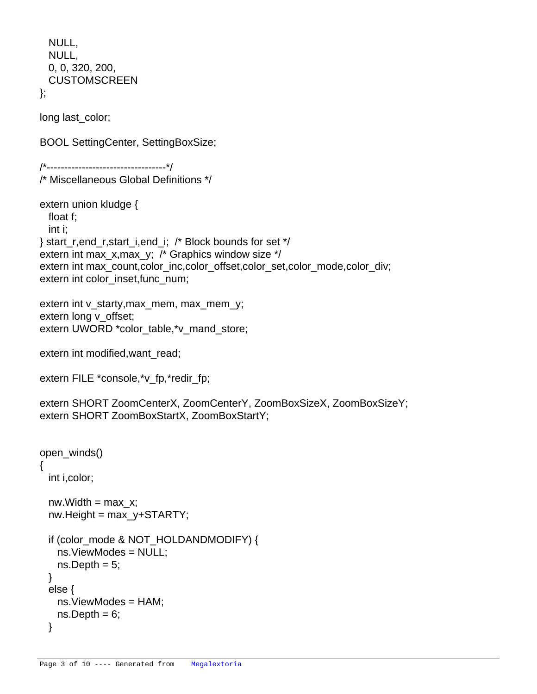```
 NULL,
  NULL,
  0, 0, 320, 200,
  CUSTOMSCREEN
};
```
long last\_color;

BOOL SettingCenter, SettingBoxSize;

/\*----------------------------------\*/ /\* Miscellaneous Global Definitions \*/

```
extern union kludge {
  float f;
  int i;
} start_r,end_r,start_i,end_i; /* Block bounds for set */
extern int max_x,max_y; /* Graphics window size */
extern int max_count,color_inc,color_offset,color_set,color_mode,color_div;
extern int color_inset,func_num;
```

```
extern int v_starty,max_mem, max_mem_y;
extern long v_offset;
extern UWORD *color_table,*v_mand_store;
```
extern int modified, want read;

```
extern FILE *console,*v_fp,*redir_fp;
```
extern SHORT ZoomCenterX, ZoomCenterY, ZoomBoxSizeX, ZoomBoxSizeY; extern SHORT ZoomBoxStartX, ZoomBoxStartY;

```
open_winds()
{
  int i,color;
 nw.Width = max x;
 nw.Height = max_y+STARTY;
 if (color_mode & NOT_HOLDANDMODIFY) {
    ns.ViewModes = NULL;
   ns.Deph = 5; }
  else {
    ns.ViewModes = HAM;
   ns.Deph = 6; }
```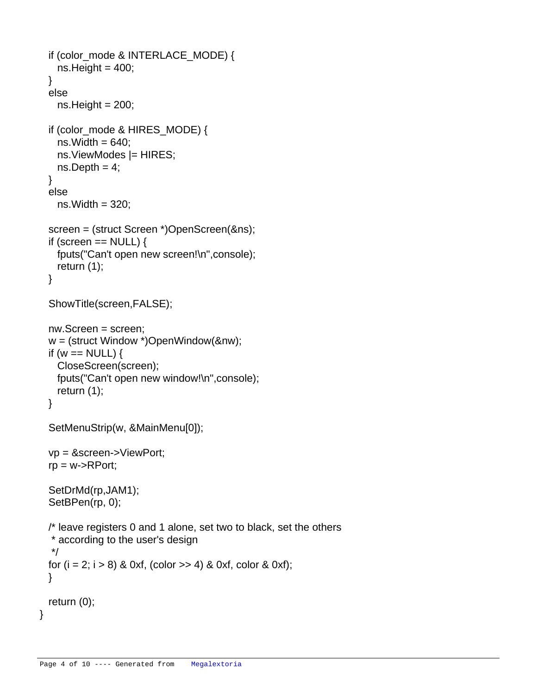```
 if (color_mode & INTERLACE_MODE) {
 ns.Height = 400; }
 else
 ns.Height = 200; if (color_mode & HIRES_MODE) {
 ns.Width = 640; ns.ViewModes |= HIRES;
 ns.Depth = 4; }
 else
 ns. Width = 320;
 screen = (struct Screen *)OpenScreen(&ns);
if (screen == NULL) {
  fputs("Can't open new screen!\n",console);
  return (1);
 }
 ShowTitle(screen,FALSE);
 nw.Screen = screen;
 w = (struct Window *)OpenWindow(&nw);
if (w == NULL) {
  CloseScreen(screen);
  fputs("Can't open new window!\n",console);
  return (1);
 }
 SetMenuStrip(w, &MainMenu[0]);
 vp = &screen->ViewPort;
rp = w->RPort; SetDrMd(rp,JAM1);
 SetBPen(rp, 0);
 /* leave registers 0 and 1 alone, set two to black, set the others
 * according to the user's design
 */
for (i = 2; i > 8) & 0xf, (color >> 4) & 0xf, color & 0xf);
 }
 return (0);
```
}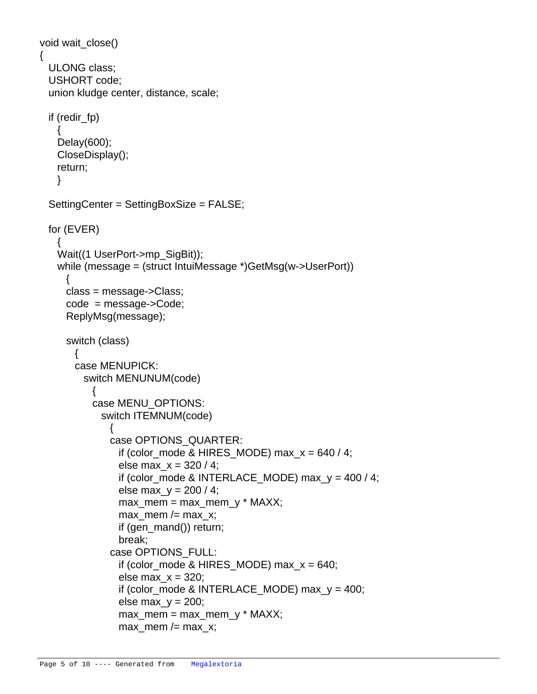```
void wait_close()
  ULONG class;
  USHORT code;
  union kludge center, distance, scale;
  if (redir_fp)
\{ Delay(600);
    CloseDisplay();
    return;
    }
  SettingCenter = SettingBoxSize = FALSE;
  for (EVER)
    {
    Wait((1 UserPort->mp_SigBit));
    while (message = (struct IntuiMessage *)GetMsg(w->UserPort))
      {
      class = message->Class;
      code = message->Code;
      ReplyMsg(message);
      switch (class)
\{ case MENUPICK:
         switch MENUNUM(code)
\{ case MENU_OPTIONS:
            switch ITEMNUM(code)
\{ case OPTIONS_QUARTER:
               if (color_mode & HIRES_MODE) max_x = 640 / 4;
               else max_x = 320/4;
               if (color_mode & INTERLACE_MODE) max_y = 400 / 4;
               else max_y = 200 / 4;
               max mem = max mem y * MAXX;
               max\_mem / = max\_x; if (gen_mand()) return;
                break;
              case OPTIONS_FULL:
               if (color_mode & HIRES_MODE) max_x = 640;
               else maxx = 320;
               if (color_mode & INTERLACE_MODE) max_y = 400;
               else maxy = 200;
               max mem = max mem y * MAXX;
               max mem /= max x;
```
{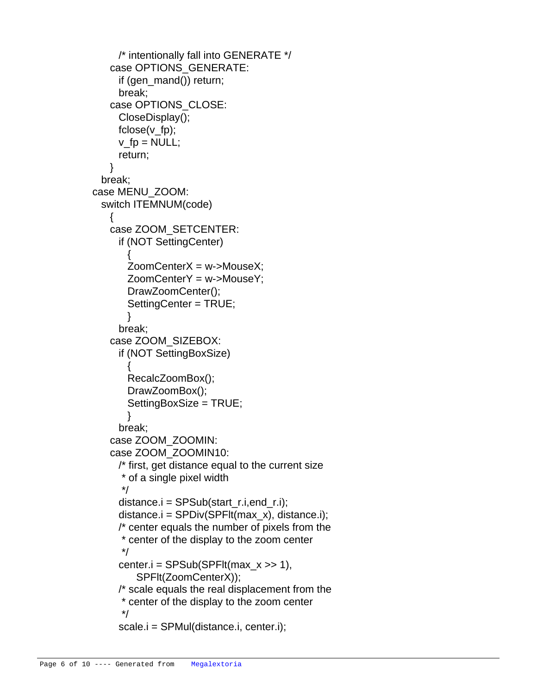```
 /* intentionally fall into GENERATE */
             case OPTIONS_GENERATE:
               if (gen_mand()) return;
               break;
             case OPTIONS_CLOSE:
               CloseDisplay();
               fclose(v_fp);
              v_f p = NULL; return;
 }
            break;
          case MENU_ZOOM:
            switch ITEMNUM(code)
\{ case ZOOM_SETCENTER:
               if (NOT SettingCenter)
\{ ZoomCenterX = w->MouseX;
                 ZoomCenterY = w->MouseY;
                 DrawZoomCenter();
                 SettingCenter = TRUE;
 }
               break;
             case ZOOM_SIZEBOX:
               if (NOT SettingBoxSize)
\{ RecalcZoomBox();
                 DrawZoomBox();
                 SettingBoxSize = TRUE;
 }
               break;
             case ZOOM_ZOOMIN:
             case ZOOM_ZOOMIN10:
               /* first, get distance equal to the current size 
               * of a single pixel width 
 */
              distance.i = SPSub(start r.i,end r.i);
               distance.i = SPDiv(SPFlt(max_x), distance.i);
               /* center equals the number of pixels from the
                * center of the display to the zoom center
 */
              center.i = SPSub(SPFlt(max_x \gg 1), SPFlt(ZoomCenterX));
               /* scale equals the real displacement from the
               * center of the display to the zoom center
 */
               scale.i = SPMul(distance.i, center.i);
```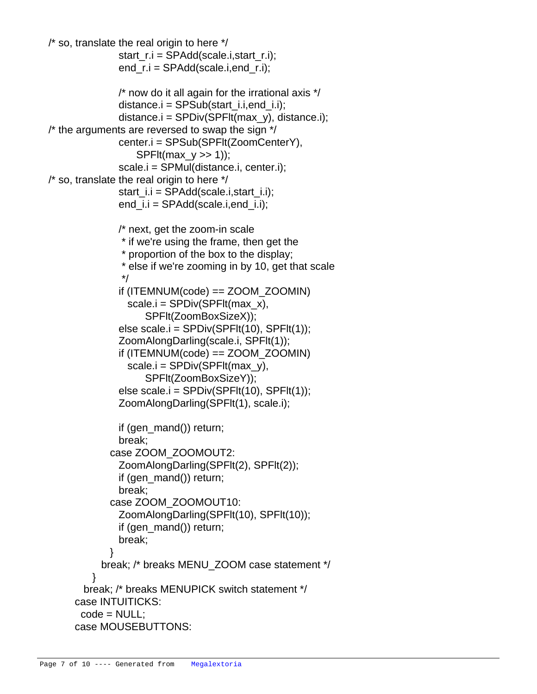```
/* so, translate the real origin to here */start r.i = SPAdd(scale.i,start r.i);
                 end_r.i = SPAdd(scale.i,end_r.i);
                 /* now do it all again for the irrational axis */
                 distance.i = SPSub(start_i.i,end_i.i);
                 distance.i = SPDiv(SPFlt(max_y), distance.i);
   \prime^* the arguments are reversed to swap the sign \prime\prime center.i = SPSub(SPFlt(ZoomCenterY), 
                    SPFIt(max y \gg 1));
                 scale.i = SPMul(distance.i, center.i);
   \prime* so, translate the real origin to here \prime\prime start_i.i = SPAdd(scale.i,start_i.i);
                end_i.i = SPAdd(scale.i, end_ii); /* next, get the zoom-in scale
                  * if we're using the frame, then get the 
                  * proportion of the box to the display;
                  * else if we're zooming in by 10, get that scale
 */
                if (ITERNUM(code) == ZOOM ZOOMIN)scale.i = SPDiv(SPFIt(max x),
                       SPFlt(ZoomBoxSizeX));
                 else scale.i = SPDiv(SPFlt(10), SPFlt(1));
                 ZoomAlongDarling(scale.i, SPFlt(1));
                 if (ITEMNUM(code) == ZOOM_ZOOMIN)
                  scale.i = SPDiv(SPFlt(max_v), SPFlt(ZoomBoxSizeY));
                else scale.i =SPDiv(SPFlt(10), SPFlt(1));
                 ZoomAlongDarling(SPFlt(1), scale.i);
                 if (gen_mand()) return;
                 break;
               case ZOOM_ZOOMOUT2:
                 ZoomAlongDarling(SPFlt(2), SPFlt(2));
                 if (gen_mand()) return;
                 break;
               case ZOOM_ZOOMOUT10:
                 ZoomAlongDarling(SPFlt(10), SPFlt(10));
                 if (gen_mand()) return;
                 break;
 }
             break; /* breaks MENU_ZOOM case statement */
 }
          break; /* breaks MENUPICK switch statement */
        case INTUITICKS:
        code = NULL:
        case MOUSEBUTTONS:
```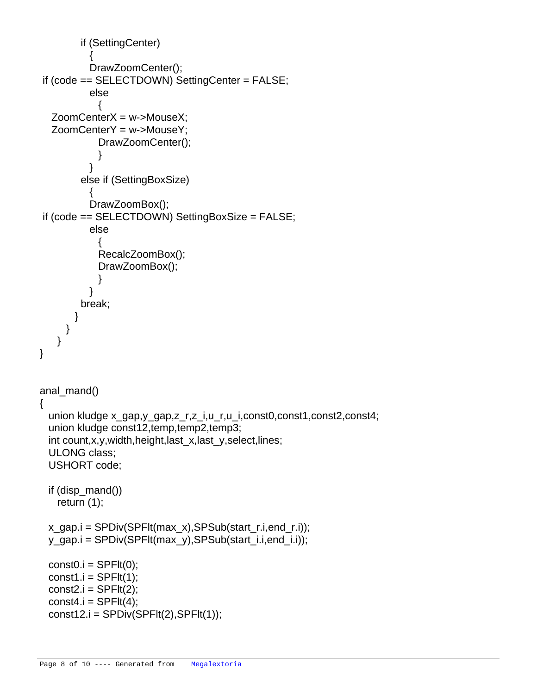```
 if (SettingCenter)
\{ DrawZoomCenter();
 		 if (code == SELECTDOWN) SettingCenter = FALSE;
          else
\{		 ZoomCenterX = w->MouseX;
   		 ZoomCenterY = w->MouseY;
            DrawZoomCenter();
 }
 }
         else if (SettingBoxSize)
\{ DrawZoomBox();
 		 if (code == SELECTDOWN) SettingBoxSize = FALSE;
          else
\{ RecalcZoomBox();
            DrawZoomBox();
 }
 }
        break;
 }
     }
    }
}
anal mand()
{
  union kludge x_gap,y_gap,z_r,z_i,u_r,u_i,const0,const1,const2,const4;
  union kludge const12,temp,temp2,temp3;
  int count,x,y,width,height,last_x,last_y,select,lines;
  ULONG class;
  USHORT code;
  if (disp_mand())
    return (1);
  x_gap.i = SPDiv(SPFlt(max_x),SPSub(start_r.i,end_r.i));
  y_gap.i = SPDiv(SPFlt(max_y),SPSub(start_i.i,end_i.i));
 const0.i = SPFlt(0);const1.i = SPFlt(1);const2.i = SPFlt(2);const4.i = SPFlt(4);const12.i = SPDiv(SPFit(2), SPFIt(1));
```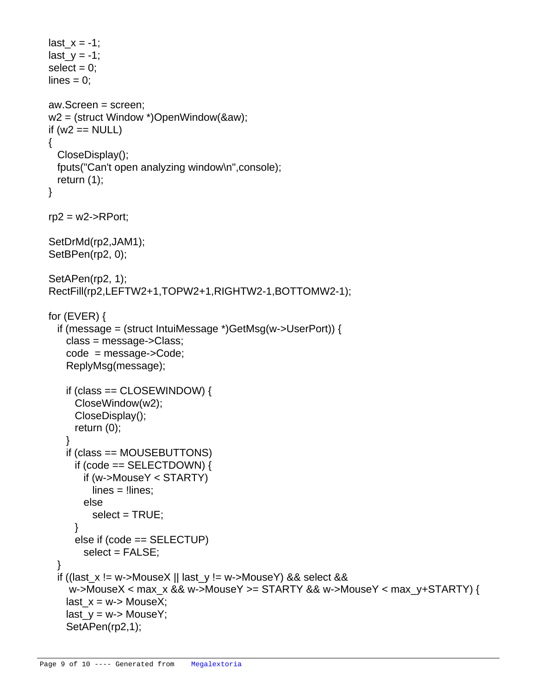```
last_x = -1;
last_y = -1;
select = 0;
lines = 0; aw.Screen = screen;
 w2 = (struct Window *)OpenWindow(&aw);
if (w2 == NULL) {
  CloseDisplay();
  fputs("Can't open analyzing window\n",console);
  return (1);
 }
rp2 = w2->RPort;
 SetDrMd(rp2,JAM1);
 SetBPen(rp2, 0);
 SetAPen(rp2, 1);
 RectFill(rp2,LEFTW2+1,TOPW2+1,RIGHTW2-1,BOTTOMW2-1);
 for (EVER) {
  if (message = (struct IntuiMessage *)GetMsg(w->UserPort)) {
    class = message->Class;
    code = message->Code;
    ReplyMsg(message);
    if (class == CLOSEWINDOW) {
      CloseWindow(w2);
      CloseDisplay();
      return (0);
    }
    if (class == MOUSEBUTTONS)
     if (code == SELECTDOWN) {
        if (w->MouseY < STARTY)
          lines = !lines;
        else
         select = TRUE; }
      else if (code == SELECTUP)
       select = FALSE; }
  if ((last_x != w->MouseX || last_y != w->MouseY) && select &&
    w->MouseX < max x && w->MouseY >= STARTY && w->MouseY < max_y+STARTY) {
   last x = w - > MouseX;
   last y = w - > MouseY;
    SetAPen(rp2,1);
```